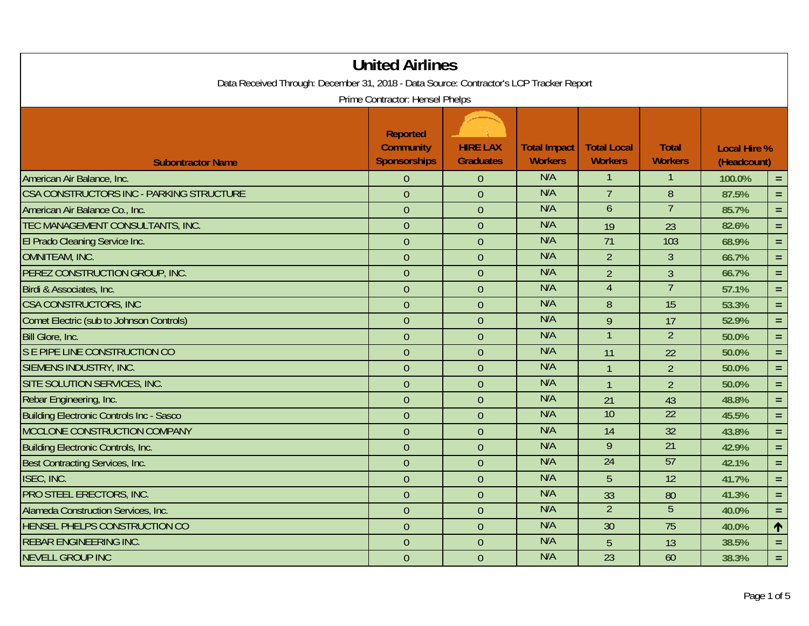| Data Received Through: December 31, 2018 - Data Source: Contractor's LCP Tracker Report | <b>United Airlines</b>                                     |                                     |                                       |                                      |                                |                                    |            |
|-----------------------------------------------------------------------------------------|------------------------------------------------------------|-------------------------------------|---------------------------------------|--------------------------------------|--------------------------------|------------------------------------|------------|
|                                                                                         | Prime Contractor: Hensel Phelps                            |                                     |                                       |                                      |                                |                                    |            |
| <b>Subontractor Name</b>                                                                | <b>Reported</b><br><b>Community</b><br><b>Sponsorships</b> | <b>HIRE LAX</b><br><b>Graduates</b> | <b>Total Impact</b><br><b>Workers</b> | <b>Total Local</b><br><b>Workers</b> | <b>Total</b><br><b>Workers</b> | <b>Local Hire %</b><br>(Headcount) |            |
| American Air Balance, Inc.                                                              | $\theta$                                                   | $\overline{0}$                      | N/A                                   | 1                                    | 1                              | 100.0%                             | $\equiv$   |
| CSA CONSTRUCTORS INC - PARKING STRUCTURE                                                | $\overline{0}$                                             | $\overline{0}$                      | N/A                                   | $\overline{7}$                       | 8                              | 87.5%                              | $\equiv$   |
| American Air Balance Co., Inc.                                                          | $\theta$                                                   | $\theta$                            | N/A                                   | $\overline{6}$                       | $\overline{7}$                 | 85.7%                              | $\equiv$   |
| TEC MANAGEMENT CONSULTANTS, INC.                                                        | $\theta$                                                   | $\overline{0}$                      | N/A                                   | 19                                   | 23                             | 82.6%                              | $\equiv$   |
| El Prado Cleaning Service Inc.                                                          | $\overline{0}$                                             | $\theta$                            | N/A                                   | $\overline{71}$                      | 103                            | 68.9%                              | $\equiv$   |
| <b>OMNITEAM, INC.</b>                                                                   | $\mathbf 0$                                                | $\boldsymbol{0}$                    | N/A                                   | $\overline{2}$                       | $\overline{3}$                 | 66.7%                              | $\equiv$ . |
| PEREZ CONSTRUCTION GROUP, INC.                                                          | $\theta$                                                   | $\theta$                            | N/A                                   | $\overline{2}$                       | 3                              | 66.7%                              | $=$ .      |
| Birdi & Associates, Inc.                                                                | $\overline{0}$                                             | $\overline{0}$                      | N/A                                   | $\overline{4}$                       | $\overline{7}$                 | 57.1%                              | $\equiv$   |
| <b>CSA CONSTRUCTORS, INC</b>                                                            | $\overline{0}$                                             | $\overline{0}$                      | N/A                                   | 8                                    | 15                             | 53.3%                              | $\equiv$   |
| Comet Electric (sub to Johnson Controls)                                                | $\theta$                                                   | $\overline{0}$                      | N/A                                   | 9                                    | 17                             | 52.9%                              | $=$ $\,$   |
| Bill Glore, Inc.                                                                        | $\overline{0}$                                             | $\overline{0}$                      | N/A                                   | $\mathbf{1}$                         | $\overline{2}$                 | 50.0%                              | $\equiv$   |
| S E PIPE LINE CONSTRUCTION CO                                                           | $\theta$                                                   | $\overline{0}$                      | N/A                                   | 11                                   | 22                             | 50.0%                              | $\equiv$   |
| SIEMENS INDUSTRY, INC.                                                                  | $\theta$                                                   | $\theta$                            | N/A                                   | $\mathbf{1}$                         | $\overline{2}$                 | 50.0%                              | $\equiv$   |
| SITE SOLUTION SERVICES, INC.                                                            | $\theta$                                                   | $\theta$                            | N/A                                   | $\mathbf{1}$                         | $\overline{2}$                 | 50.0%                              | $=$        |
| Rebar Engineering, Inc.                                                                 | $\overline{0}$                                             | $\overline{0}$                      | N/A                                   | 21                                   | 43                             | 48.8%                              | $\equiv$   |
| <b>Building Electronic Controls Inc - Sasco</b>                                         | $\overline{0}$                                             | $\overline{0}$                      | N/A                                   | $\overline{10}$                      | $\overline{22}$                | 45.5%                              | $\equiv$   |
| MCCLONE CONSTRUCTION COMPANY                                                            | $\overline{0}$                                             | $\overline{0}$                      | N/A                                   | 14                                   | $\overline{32}$                | 43.8%                              | $\equiv$   |
| <b>Building Electronic Controls, Inc.</b>                                               | $\theta$                                                   | $\theta$                            | N/A                                   | $\overline{9}$                       | $\overline{21}$                | 42.9%                              | $\equiv$   |
| Best Contracting Services, Inc.                                                         | $\overline{0}$                                             | $\overline{0}$                      | N/A                                   | 24                                   | 57                             | 42.1%                              | $=$ .      |
| <b>ISEC, INC.</b>                                                                       | $\overline{0}$                                             | $\theta$                            | N/A                                   | 5                                    | 12                             | 41.7%                              | $\equiv$   |
| PRO STEEL ERECTORS, INC.                                                                | $\theta$                                                   | $\overline{0}$                      | N/A                                   | 33                                   | 80                             | 41.3%                              | $\equiv$   |
| Alameda Construction Services, Inc.                                                     | $\overline{0}$                                             | $\overline{0}$                      | N/A                                   | $\overline{2}$                       | $\overline{5}$                 | 40.0%                              | $=$ .      |
| HENSEL PHELPS CONSTRUCTION CO                                                           | $\overline{0}$                                             | $\overline{0}$                      | N/A                                   | 30                                   | $\overline{75}$                | 40.0%                              | $\uparrow$ |
| <b>REBAR ENGINEERING INC.</b>                                                           | $\overline{0}$                                             | $\overline{0}$                      | N/A                                   | 5                                    | 13                             | 38.5%                              | $=$ .      |
| <b>NEVELL GROUP INC</b>                                                                 | $\overline{0}$                                             | $\overline{0}$                      | N/A                                   | 23                                   | 60                             | 38.3%                              | $\equiv$   |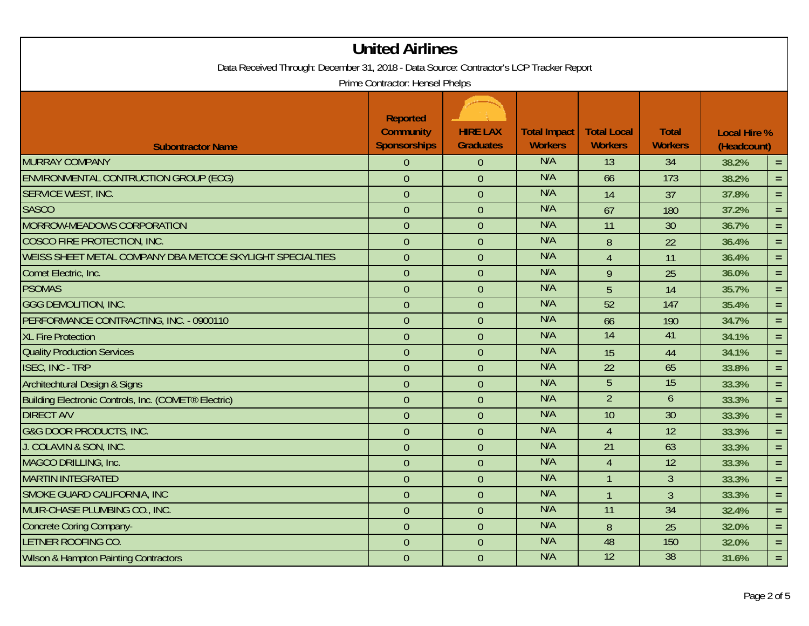| Data Received Through: December 31, 2018 - Data Source: Contractor's LCP Tracker Report | <b>United Airlines</b>                                     |                                     |                                       |                                      |                                |                                    |          |  |  |
|-----------------------------------------------------------------------------------------|------------------------------------------------------------|-------------------------------------|---------------------------------------|--------------------------------------|--------------------------------|------------------------------------|----------|--|--|
| Prime Contractor: Hensel Phelps                                                         |                                                            |                                     |                                       |                                      |                                |                                    |          |  |  |
| <b>Subontractor Name</b>                                                                | <b>Reported</b><br><b>Community</b><br><b>Sponsorships</b> | <b>HIRE LAX</b><br><b>Graduates</b> | <b>Total Impact</b><br><b>Workers</b> | <b>Total Local</b><br><b>Workers</b> | <b>Total</b><br><b>Workers</b> | <b>Local Hire %</b><br>(Headcount) |          |  |  |
| <b>MURRAY COMPANY</b>                                                                   | $\theta$                                                   | $\theta$                            | N/A                                   | 13                                   | 34                             | 38.2%                              | $\equiv$ |  |  |
| ENVIRONMENTAL CONTRUCTION GROUP (ECG)                                                   | $\theta$                                                   | $\overline{0}$                      | N/A                                   | 66                                   | 173                            | 38.2%                              | $=$      |  |  |
| SERVICE WEST, INC.                                                                      | $\overline{0}$                                             | $\mathbf{0}$                        | N/A                                   | 14                                   | 37                             | 37.8%                              | $\equiv$ |  |  |
| <b>SASCO</b>                                                                            | $\overline{0}$                                             | $\overline{0}$                      | N/A                                   | 67                                   | 180                            | 37.2%                              | $\equiv$ |  |  |
| MORROW-MEADOWS CORPORATION                                                              | $\overline{0}$                                             | $\overline{0}$                      | N/A                                   | 11                                   | 30                             | 36.7%                              | $\equiv$ |  |  |
| COSCO FIRE PROTECTION, INC.                                                             | $\mathbf{0}$                                               | $\overline{0}$                      | N/A                                   | $\, 8$                               | 22                             | 36.4%                              | $\equiv$ |  |  |
| WEISS SHEET METAL COMPANY DBA METCOE SKYLIGHT SPECIALTIES                               | $\overline{0}$                                             | $\overline{0}$                      | N/A                                   | $\overline{4}$                       | 11                             | 36.4%                              | $=$ .    |  |  |
| Comet Electric, Inc.                                                                    | $\overline{0}$                                             | $\overline{0}$                      | N/A                                   | 9                                    | 25                             | 36.0%                              | $\equiv$ |  |  |
| <b>PSOMAS</b>                                                                           | $\theta$                                                   | $\overline{0}$                      | N/A                                   | 5                                    | 14                             | 35.7%                              | $\equiv$ |  |  |
| <b>GGG DEMOLITION, INC.</b>                                                             | $\mathbf{0}$                                               | $\overline{0}$                      | N/A                                   | $\overline{52}$                      | 147                            | 35.4%                              | $\equiv$ |  |  |
| PERFORMANCE CONTRACTING, INC. - 0900110                                                 | $\overline{0}$                                             | $\overline{0}$                      | N/A                                   | 66                                   | 190                            | 34.7%                              | $=$ $\,$ |  |  |
| <b>XL Fire Protection</b>                                                               | $\mathbf{0}$                                               | $\mathbf{0}$                        | N/A                                   | $\overline{14}$                      | 41                             | 34.1%                              | $\equiv$ |  |  |
| <b>Quality Production Services</b>                                                      | $\mathbf{0}$                                               | $\overline{0}$                      | N/A                                   | 15                                   | 44                             | 34.1%                              | $\equiv$ |  |  |
| <b>ISEC, INC - TRP</b>                                                                  | $\overline{0}$                                             | $\overline{0}$                      | N/A                                   | 22                                   | 65                             | 33.8%                              | $=$      |  |  |
| <b>Architechtural Design &amp; Signs</b>                                                | $\theta$                                                   | $\overline{0}$                      | N/A                                   | $\overline{5}$                       | $\overline{15}$                | 33.3%                              | $\equiv$ |  |  |
| Building Electronic Controls, Inc. (COMET <sup>®</sup> Electric)                        | $\theta$                                                   | $\overline{0}$                      | N/A                                   | $\overline{2}$                       | 6                              | 33.3%                              | $=$      |  |  |
| <b>DIRECT A/V</b>                                                                       | $\overline{0}$                                             | $\overline{0}$                      | N/A                                   | 10                                   | 30                             | 33.3%                              | $\equiv$ |  |  |
| <b>G&amp;G DOOR PRODUCTS, INC.</b>                                                      | $\overline{0}$                                             | $\overline{0}$                      | N/A                                   | $\overline{4}$                       | $\overline{12}$                | 33.3%                              | $\equiv$ |  |  |
| J. COLAVIN & SON, INC.                                                                  | $\theta$                                                   | $\theta$                            | N/A                                   | 21                                   | 63                             | 33.3%                              | $\equiv$ |  |  |
| MAGCO DRILLING, Inc.                                                                    | $\theta$                                                   | $\overline{0}$                      | N/A                                   | $\overline{4}$                       | 12                             | 33.3%                              | $\equiv$ |  |  |
| <b>MARTIN INTEGRATED</b>                                                                | $\theta$                                                   | $\theta$                            | N/A                                   |                                      | $\overline{3}$                 | 33.3%                              | $=$      |  |  |
| SMOKE GUARD CALIFORNIA, INC                                                             | $\overline{0}$                                             | $\mathbf{0}$                        | N/A                                   | $\mathbf{1}$                         | $\overline{3}$                 | 33.3%                              | $\equiv$ |  |  |
| MUIR-CHASE PLUMBING CO., INC.                                                           | $\overline{0}$                                             | $\overline{0}$                      | N/A                                   | 11                                   | 34                             | 32.4%                              | $\equiv$ |  |  |
| <b>Concrete Coring Company-</b>                                                         | $\overline{0}$                                             | $\overline{0}$                      | N/A                                   | $\, 8$                               | 25                             | 32.0%                              | $=$      |  |  |
| LETNER ROOFING CO.                                                                      | $\theta$                                                   | $\overline{0}$                      | N/A                                   | 48                                   | 150                            | 32.0%                              | $\equiv$ |  |  |
| <b>Wilson &amp; Hampton Painting Contractors</b>                                        | $\overline{0}$                                             | $\overline{0}$                      | N/A                                   | $\overline{12}$                      | 38                             | 31.6%                              | $\equiv$ |  |  |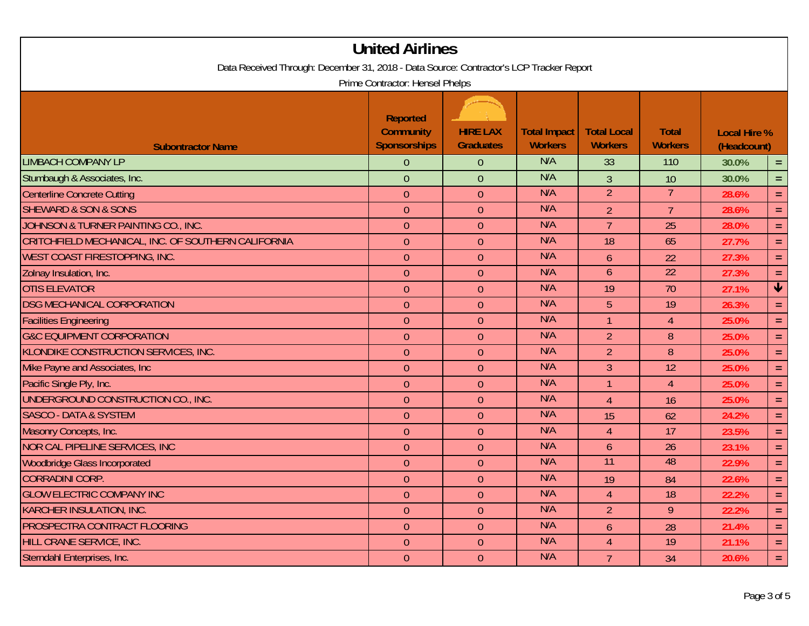| <b>United Airlines</b><br>Data Received Through: December 31, 2018 - Data Source: Contractor's LCP Tracker Report |                                                                                               |                                     |                                       |                                      |                                |                                    |                 |  |  |
|-------------------------------------------------------------------------------------------------------------------|-----------------------------------------------------------------------------------------------|-------------------------------------|---------------------------------------|--------------------------------------|--------------------------------|------------------------------------|-----------------|--|--|
| <b>Subontractor Name</b>                                                                                          | Prime Contractor: Hensel Phelps<br><b>Reported</b><br><b>Community</b><br><b>Sponsorships</b> | <b>HIRE LAX</b><br><b>Graduates</b> | <b>Total Impact</b><br><b>Workers</b> | <b>Total Local</b><br><b>Workers</b> | <b>Total</b><br><b>Workers</b> | <b>Local Hire %</b><br>(Headcount) |                 |  |  |
| <b>LIMBACH COMPANY LP</b>                                                                                         | $\theta$                                                                                      | $\theta$                            | N/A                                   | 33                                   | 110                            | 30.0%                              | $\equiv$        |  |  |
| Stumbaugh & Associates, Inc.                                                                                      | $\overline{0}$                                                                                | $\overline{0}$                      | N/A                                   | $\overline{3}$                       | 10                             | 30.0%                              | $=$ .           |  |  |
| Centerline Concrete Cutting                                                                                       | $\theta$                                                                                      | $\overline{0}$                      | N/A                                   | $\overline{2}$                       | 7                              | 28.6%                              | $=$             |  |  |
| <b>SHEWARD &amp; SON &amp; SONS</b>                                                                               | $\overline{0}$                                                                                | $\overline{0}$                      | N/A                                   | $\overline{2}$                       | $\overline{7}$                 | 28.6%                              | $\equiv$        |  |  |
| JOHNSON & TURNER PAINTING CO., INC.                                                                               | $\theta$                                                                                      | $\overline{0}$                      | N/A                                   | $\overline{7}$                       | 25                             | 28.0%                              | $\equiv$        |  |  |
| CRITCHFIELD MECHANICAL, INC. OF SOUTHERN CALIFORNIA                                                               | $\boldsymbol{0}$                                                                              | $\theta$                            | N/A                                   | 18                                   | 65                             | 27.7%                              | $=$             |  |  |
| WEST COAST FIRESTOPPING, INC.                                                                                     | $\overline{0}$                                                                                | $\overline{0}$                      | N/A                                   | 6                                    | 22                             | 27.3%                              | $\equiv$        |  |  |
| Zolnay Insulation, Inc.                                                                                           | $\overline{0}$                                                                                | $\overline{0}$                      | N/A                                   | 6                                    | $\overline{22}$                | 27.3%                              | $=$             |  |  |
| <b>OTIS ELEVATOR</b>                                                                                              | $\overline{0}$                                                                                | $\theta$                            | N/A                                   | 19                                   | 70                             | 27.1%                              | $\blacklozenge$ |  |  |
| <b>DSG MECHANICAL CORPORATION</b>                                                                                 | $\theta$                                                                                      | $\overline{0}$                      | N/A                                   | 5                                    | 19                             | 26.3%                              | $\equiv$        |  |  |
| <b>Facilities Engineering</b>                                                                                     | $\theta$                                                                                      | $\overline{0}$                      | N/A                                   | 1                                    | $\overline{4}$                 | 25.0%                              | $=$             |  |  |
| <b>G&amp;C EQUIPMENT CORPORATION</b>                                                                              | $\overline{0}$                                                                                | $\theta$                            | N/A                                   | $\overline{2}$                       | 8                              | 25.0%                              | $\equiv$        |  |  |
| KLONDIKE CONSTRUCTION SERVICES, INC.                                                                              | $\boldsymbol{0}$                                                                              | $\overline{0}$                      | N/A                                   | $\overline{2}$                       | 8                              | 25.0%                              | $=$             |  |  |
| Mike Payne and Associates, Inc.                                                                                   | $\overline{0}$                                                                                | $\overline{0}$                      | N/A                                   | 3                                    | 12                             | 25.0%                              | $=$             |  |  |
| Pacific Single Ply, Inc.                                                                                          | $\theta$                                                                                      | $\overline{0}$                      | N/A                                   |                                      | 4                              | 25.0%                              | $=$             |  |  |
| UNDERGROUND CONSTRUCTION CO., INC.                                                                                | $\theta$                                                                                      | $\theta$                            | N/A                                   | $\overline{4}$                       | 16                             | 25.0%                              | $=$             |  |  |
| <b>SASCO - DATA &amp; SYSTEM</b>                                                                                  | $\theta$                                                                                      | $\theta$                            | N/A                                   | 15                                   | 62                             | 24.2%                              | $=$             |  |  |
| Masonry Concepts, Inc.                                                                                            | $\theta$                                                                                      | $\overline{0}$                      | N/A                                   | $\overline{4}$                       | 17                             | 23.5%                              | $=$             |  |  |
| <b>NOR CAL PIPELINE SERVICES, INC</b>                                                                             | $\overline{0}$                                                                                | $\theta$                            | N/A                                   | 6                                    | 26                             | 23.1%                              | $\equiv$        |  |  |
| <b>Woodbridge Glass Incorporated</b>                                                                              | $\overline{0}$                                                                                | $\theta$                            | N/A                                   | 11                                   | 48                             | 22.9%                              | $=$             |  |  |
| <b>CORRADINI CORP.</b>                                                                                            | $\overline{0}$                                                                                | $\overline{0}$                      | N/A                                   | 19                                   | 84                             | 22.6%                              | $=$             |  |  |
| <b>GLOW ELECTRIC COMPANY INC</b>                                                                                  | 0                                                                                             | $\overline{0}$                      | N/A                                   | 4                                    | 18                             | 22.2%                              | $\equiv$        |  |  |
| KARCHER INSULATION, INC.                                                                                          | $\overline{0}$                                                                                | $\overline{0}$                      | N/A                                   | 2 <sup>7</sup>                       | 9                              | 22.2%                              | $=$             |  |  |
| PROSPECTRA CONTRACT FLOORING                                                                                      | $\theta$                                                                                      | $\overline{0}$                      | N/A                                   | 6                                    | 28                             | 21.4%                              | $\equiv$ .      |  |  |
| HILL CRANE SERVICE, INC.                                                                                          | $\theta$                                                                                      | $\overline{0}$                      | N/A                                   | $\overline{4}$                       | 19                             | 21.1%                              | $\equiv$ .      |  |  |
| Sterndahl Enterprises, Inc.                                                                                       | $\overline{0}$                                                                                | $\overline{0}$                      | N/A                                   | $\overline{7}$                       | 34                             | 20.6%                              | $\equiv$ .      |  |  |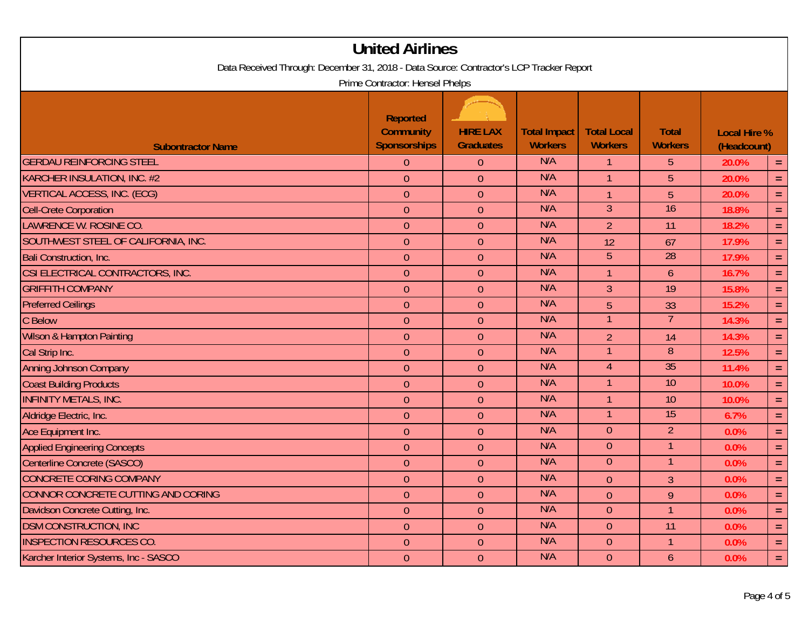|                                                                                         | <b>United Airlines</b>                                     |                                     |                                       |                                      |                                |                                    |          |  |  |
|-----------------------------------------------------------------------------------------|------------------------------------------------------------|-------------------------------------|---------------------------------------|--------------------------------------|--------------------------------|------------------------------------|----------|--|--|
| Data Received Through: December 31, 2018 - Data Source: Contractor's LCP Tracker Report |                                                            |                                     |                                       |                                      |                                |                                    |          |  |  |
| Prime Contractor: Hensel Phelps                                                         |                                                            |                                     |                                       |                                      |                                |                                    |          |  |  |
| <b>Subontractor Name</b>                                                                | <b>Reported</b><br><b>Community</b><br><b>Sponsorships</b> | <b>HIRE LAX</b><br><b>Graduates</b> | <b>Total Impact</b><br><b>Workers</b> | <b>Total Local</b><br><b>Workers</b> | <b>Total</b><br><b>Workers</b> | <b>Local Hire %</b><br>(Headcount) |          |  |  |
| <b>GERDAU REINFORCING STEEL</b>                                                         | $\theta$                                                   | $\theta$                            | N/A                                   | $\mathbf{1}$                         | 5                              | 20.0%                              | $\equiv$ |  |  |
| KARCHER INSULATION, INC. #2                                                             | $\overline{0}$                                             | $\overline{0}$                      | N/A                                   | $\mathbf{1}$                         | $\overline{5}$                 | 20.0%                              | $=$      |  |  |
| <b>VERTICAL ACCESS, INC. (ECG)</b>                                                      | $\overline{0}$                                             | $\overline{0}$                      | N/A                                   | $\mathbf{1}$                         | 5                              | 20.0%                              | $\equiv$ |  |  |
| <b>Cell-Crete Corporation</b>                                                           | $\overline{0}$                                             | $\overline{0}$                      | N/A                                   | $\overline{3}$                       | 16                             | 18.8%                              | $\equiv$ |  |  |
| LAWRENCE W. ROSINE CO.                                                                  | $\overline{0}$                                             | $\overline{0}$                      | N/A                                   | $\overline{2}$                       | 11                             | 18.2%                              | $\equiv$ |  |  |
| SOUTHWEST STEEL OF CALIFORNIA, INC.                                                     | $\mathbf{0}$                                               | $\theta$                            | N/A                                   | 12                                   | 67                             | 17.9%                              | $\equiv$ |  |  |
| Bali Construction, Inc.                                                                 | $\overline{0}$                                             | $\overline{0}$                      | N/A                                   | $\overline{5}$                       | 28                             | 17.9%                              | $\equiv$ |  |  |
| CSI ELECTRICAL CONTRACTORS, INC.                                                        | $\overline{0}$                                             | $\overline{0}$                      | N/A                                   | $\mathbf{1}$                         | $\mathfrak b$                  | 16.7%                              | $\equiv$ |  |  |
| <b>GRIFFITH COMPANY</b>                                                                 | $\overline{0}$                                             | $\overline{0}$                      | N/A                                   | $\overline{3}$                       | 19                             | 15.8%                              | $=$      |  |  |
| <b>Preferred Ceilings</b>                                                               | $\overline{0}$                                             | $\overline{0}$                      | N/A                                   | 5                                    | 33                             | 15.2%                              | $\equiv$ |  |  |
| C Below                                                                                 | $\mathbf{0}$                                               | $\overline{0}$                      | N/A                                   | $\overline{1}$                       | $\overline{7}$                 | 14.3%                              | $\equiv$ |  |  |
| Wilson & Hampton Painting                                                               | $\overline{0}$                                             | $\overline{0}$                      | N/A                                   | $\overline{2}$                       | 14                             | 14.3%                              | $\equiv$ |  |  |
| Cal Strip Inc.                                                                          | $\overline{0}$                                             | $\overline{0}$                      | N/A                                   | $\mathbf{1}$                         | $\overline{8}$                 | 12.5%                              | $\equiv$ |  |  |
| <b>Anning Johnson Company</b>                                                           | $\overline{0}$                                             | $\overline{0}$                      | N/A                                   | $\overline{4}$                       | 35                             | 11.4%                              | $\equiv$ |  |  |
| <b>Coast Building Products</b>                                                          | $\mathbf{0}$                                               | $\theta$                            | N/A                                   | $\mathbf{1}$                         | 10                             | 10.0%                              | $\equiv$ |  |  |
| <b>INFINITY METALS, INC.</b>                                                            | $\overline{0}$                                             | $\overline{0}$                      | N/A                                   | $\mathbf{1}$                         | 10                             | 10.0%                              | $\equiv$ |  |  |
| Aldridge Electric, Inc.                                                                 | $\overline{0}$                                             | $\overline{0}$                      | N/A                                   | $\mathbf{1}$                         | $\overline{15}$                | 6.7%                               | $\equiv$ |  |  |
| Ace Equipment Inc.                                                                      | $\overline{0}$                                             | $\overline{0}$                      | N/A                                   | $\overline{0}$                       | $\overline{2}$                 | 0.0%                               | $\equiv$ |  |  |
| <b>Applied Engineering Concepts</b>                                                     | $\overline{0}$                                             | $\theta$                            | N/A                                   | $\overline{0}$                       |                                | 0.0%                               | $\equiv$ |  |  |
| Centerline Concrete (SASCO)                                                             | $\theta$                                                   | $\theta$                            | N/A                                   | $\overline{0}$                       | $\mathbf{1}$                   | 0.0%                               | $\equiv$ |  |  |
| <b>CONCRETE CORING COMPANY</b>                                                          | $\overline{0}$                                             | $\overline{0}$                      | N/A                                   | $\overline{0}$                       | 3                              | 0.0%                               | $=$ .    |  |  |
| CONNOR CONCRETE CUTTING AND CORING                                                      | $\overline{0}$                                             | $\overline{0}$                      | N/A                                   | $\overline{0}$                       | 9                              | 0.0%                               | $\equiv$ |  |  |
| Davidson Concrete Cutting, Inc.                                                         | $\overline{0}$                                             | $\overline{0}$                      | N/A                                   | $\overline{0}$                       | $\overline{1}$                 | 0.0%                               | $\equiv$ |  |  |
| <b>DSM CONSTRUCTION, INC</b>                                                            | $\overline{0}$                                             | $\overline{0}$                      | N/A                                   | $\overline{0}$                       | 11                             | 0.0%                               | $\equiv$ |  |  |
| <b>INSPECTION RESOURCES CO.</b>                                                         | $\overline{0}$                                             | $\overline{0}$                      | N/A                                   | $\overline{0}$                       | $\mathbf{1}$                   | 0.0%                               | $\equiv$ |  |  |
| Karcher Interior Systems, Inc - SASCO                                                   | $\theta$                                                   | $\overline{0}$                      | N/A                                   | $\overline{0}$                       | 6                              | 0.0%                               | $\equiv$ |  |  |